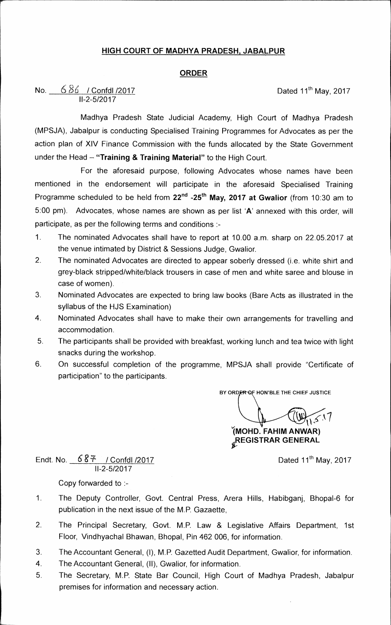## **HIGH COURT OF NIADHYA PRADESH, JABALPUR**

### **ORDER**

## **No.**  $\underline{686}$  / Confdl /2017 **Dated 11<sup>th</sup> May, 2017 11-2-5/2017**

**Madhya Pradesh State Judicial Academy, High Court of Madhya Pradesh (MPSJA), Jabalpur is conducting Specialised Training Programmes for Advocates as per the action plan of XIV Finance Commission with the funds allocated by the State Government**  under the Head - "Training & Training Material" to the High Court.

**For the aforesaid purpose, following Advocates whose names have been mentioned in the endorsement will participate in the aforesaid Specialised Training Programme scheduled to be held from 22nd - 25th may, 2017 at Gwalior (from 10:30 am to 5:00 pm). Advocates, whose names are shown as per list 'A' annexed with this order, will participate, as per the following terms and conditions :-** 

- **1. The nominated Advocates shall have to report at 10.00 a.m. sharp on 22.05.2017 at the venue intimated by District & Sessions Judge, Gwalior.**
- **2 The nominated Advocates are directed to appear soberly dressed (i.e. white shirt and grey-black stripped/white/black trousers in case of men and white saree and blouse in case of women).**
- **3. Nominated Advocates are expected to bring law books (Bare Acts as illustrated in the syllabus of the HJS Examination)**
- **4. Nominated Advocates shall have to make their own arrangements for travelling and accommodation,**
- **5. The participants shall be provided with breakfast, working lunch and tea twice with light snacks during the workshop.**
- **6. On successful completion of the programme, MPSJA shall provide "Certificate of participation" to the participants.**

**BY ORDER OF HON'BLE THE CHIEF JUSTICE** 

**1MOHD. FAHIM ANWAR)** 

**REGISTRAR GENERAL** 

Endt. No.  $\frac{687}{1000}$  / Confdl /2017 **11-2-5/2017** 

**Copy forwarded to :-** 

- **1. The Deputy Controller, Govt. Central Press, Arera Hills, Habibganj, Bhopal-6 for publication in the next issue of the M.P. Gazaette,**
- **2. The Principal Secretary, Govt. M.P. Law & Legislative Affairs Department, 1st Floor, Vindhyachal Bhawan, Bhopal, Pin 462 006, for information.**
- **3. The Accountant General, (I), M.P. Gazetted Audit Department, Gwalior, for information.**
- **4. The Accountant General, (II), Gwalior, for information.**
- **5. The Secretary, M.P. State Bar Council, High Court of Madhya Pradesh, Jabalpur premises for information and necessary action.**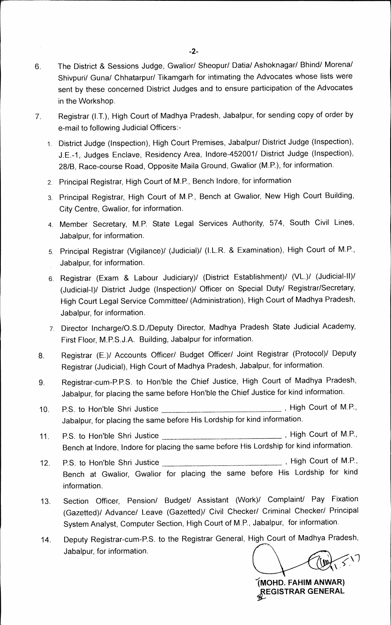- **6. The District & Sessions Judge, Gwalior/ Sheopur/ Datia/ Ashoknagar/ Bhind/ Morena/ Shivpuri/ Guna/ Chhatarpur/ Tikamgarh for intimating the Advocates whose lists were sent by these concerned District Judges and to ensure participation of the Advocates in the Workshop.**
- **7. Registrar (1.T.), High Court of Madhya Pradesh, Jabalpur, for sending copy of order by e-mail to following Judicial Officers:-** 
	- **1. District Judge (Inspection), High Court Premises, Jabalpur/ District Judge (Inspection), J.E.-1, Judges Enclave, Residency Area, lndore-452001/ District Judge (Inspection), 28/B, Race-course Road, Opposite Maila Ground, Gwalior (M.P.), for information.**
	- **2. Principal Registrar, High Court of M.P., Bench lndore, for information**
	- **3. Principal Registrar, High Court of M.P., Bench at Gwalior, New High Court Building, City Centre, Gwalior, for information.**
	- **4. Member Secretary, M.P. State Legal Services Authority, 574, South Civil Lines, Jabalpur, for information.**
	- **5. Principal Registrar (Vigilance)/ (Judicial)/ (I.L.R. & Examination), High Court of M.P., Jabalpur, for information.**
	- **6. Registrar (Exam & Labour Judiciary)/ (District Establishment)/ (VL.)/ (Judicial-II)/ (Judicial-1)! District Judge (Inspection)/ Officer on Special Duty/ Registrar/Secretary, High Court Legal Service Committee/ (Administration), High Court of Madhya Pradesh, Jabalpur, for information.**
	- **7. Director Incharge/O.S.D./Deputy Director, Madhya Pradesh State Judicial Academy, First Floor, M.P.S.J.A. Building, Jabalpur for information.**
- **8. Registrar (E.)/ Accounts Officer/ Budget Officer/ Joint Registrar (Protocol)/ Deputy Registrar (Judicial), High Court of Madhya Pradesh, Jabalpur, for information.**
- **9. Registrar-cum-P.P.S. to Hon'ble the Chief Justice, High Court of Madhya Pradesh, Jabalpur, for placing the same before Hon'ble the Chief Justice for kind information.**
- 10. P.S. to Hon'ble Shri Justice **contained a manual container and M.S.**, **Jabalpur, for placing the same before His Lordship for kind information.**
- 11. P.S. to Hon'ble Shri Justice **Constanting the Court of M.P.**, **Bench at Indore, lndore for placing the same before His Lordship for kind information.**
- 12. P.S. to Hon'ble Shri Justice *COUCE COUPS*, High Court of M.P., **Bench at Gwalior, Gwalior for placing the same before His Lordship for kind information.**
- **13. Section Officer, Pension/ Budget/ Assistant (Work)/ Complaint/ Pay Fixation (Gazetted)/ Advance/ Leave (Gazetted)/ Civil Checker/ Criminal Checker/ Principal System Analyst, Computer Section, High Court of M.P., Jabalpur, for information.**
- **14. Deputy Registrar-cum-RS. to the Registrar General, High Court of Madhya Pradesh, Jabalpur, for information.**

**IMOHD. FAHIM AN WAR) ,tEGISTRAR GENERAL**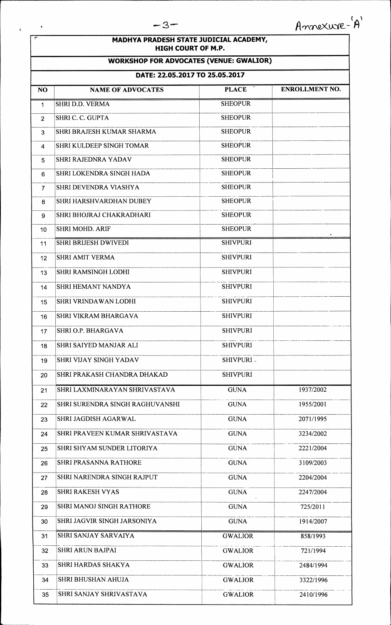$\sim$   $\lambda$ 

 $\mathbf{t}$ 

### **MADHYA PRADESH STATE JUDICIAL ACADEMY, HIGH COURT OF M.P.**

## **WORKSHOP FOR ADVOCATES (VENUE: GWALIOR)**

# **DATE: 22.05.2017 TO 25.05.2017**

|                | UAIE. 22.03.2017 TO 23.03.2017  |                 |                       |
|----------------|---------------------------------|-----------------|-----------------------|
| N <sub>O</sub> | <b>NAME OF ADVOCATES</b>        | <b>PLACE</b>    | <b>ENROLLMENT NO.</b> |
| 1              | SHRI D.D. VERMA                 | <b>SHEOPUR</b>  |                       |
| $\overline{2}$ | SHRI C. C. GUPTA                | <b>SHEOPUR</b>  |                       |
| 3              | SHRI BRAJESH KUMAR SHARMA       | <b>SHEOPUR</b>  |                       |
| 4              | SHRI KULDEEP SINGH TOMAR        | <b>SHEOPUR</b>  |                       |
| 5              | <b>SHRI RAJEDNRA YADAV</b>      | <b>SHEOPUR</b>  |                       |
| 6              | SHRI LOKENDRA SINGH HADA        | <b>SHEOPUR</b>  |                       |
| 7              | SHRI DEVENDRA VIASHYA           | <b>SHEOPUR</b>  |                       |
| 8              | SHRI HARSHVARDHAN DUBEY         | <b>SHEOPUR</b>  |                       |
| 9              | SHRI BHOJRAJ CHAKRADHARI        | <b>SHEOPUR</b>  |                       |
| 10             | <b>SHRI MOHD. ARIF</b>          | <b>SHEOPUR</b>  |                       |
| 11             | <b>SHRI BRIJESH DWIVEDI</b>     | <b>SHIVPURI</b> |                       |
| 12             | <b>SHRI AMIT VERMA</b>          | <b>SHIVPURI</b> |                       |
| 13             | <b>SHRI RAMSINGH LODHI</b>      | <b>SHIVPURI</b> |                       |
| 14             | <b>SHRI HEMANT NANDYA</b>       | <b>SHIVPURI</b> |                       |
| 15             | <b>SHRI VRINDAWAN LODHI</b>     | <b>SHIVPURI</b> |                       |
| 16             | <b>SHRI VIKRAM BHARGAVA</b>     | <b>SHIVPURI</b> |                       |
| 17             | <b>SHRI O.P. BHARGAVA</b>       | <b>SHIVPURI</b> |                       |
| 18             | SHRI SAIYED MANJAR ALI          | <b>SHIVPURI</b> |                       |
| 19             | <b>SHRI VIJAY SINGH YADAV</b>   | SHIVPURI -      |                       |
| 20             | SHRI PRAKASH CHANDRA DHAKAD     | <b>SHIVPURI</b> |                       |
| 21             | SHRI LAXMINARAYAN SHRIVASTAVA   | <b>GUNA</b>     | 1937/2002             |
| 22             | SHRI SURENDRA SINGH RAGHUVANSHI | <b>GUNA</b>     | 1955/2001             |
| 23             | SHRI JAGDISH AGARWAL            | <b>GUNA</b>     | 2071/1995             |
| 24             | SHRI PRAVEEN KUMAR SHRIVASTAVA  | <b>GUNA</b>     | 3234/2002             |
| 25             | SHRI SHYAM SUNDER LITORIYA      | <b>GUNA</b>     | 2221/2004             |
| 26             | SHRI PRASANNA RATHORE           | <b>GUNA</b>     | 3109/2003             |
| 27             | SHRI NARENDRA SINGH RAJPUT      | <b>GUNA</b>     | 2204/2004             |
| 28             | <b>SHRI RAKESH VYAS</b>         | <b>GUNA</b>     | 2247/2004             |
| 29             | SHRI MANOJ SINGH RATHORE        | <b>GUNA</b>     | 725/2011              |
| 30             | SHRI JAGVIR SINGH JARSONIYA     | <b>GUNA</b>     | 1914/2007             |
| 31             | SHRI SANJAY SARVAIYA            | <b>GWALIOR</b>  | 858/1993              |
| 32             | <b>SHRI ARUN BAJPAI</b>         | <b>GWALIOR</b>  | 721/1994              |
| 33             | SHRI HARDAS SHAKYA              | <b>GWALIOR</b>  | 2484/1994             |
| 34             | <b>SHRI BHUSHAN AHUJA</b>       | <b>GWALIOR</b>  | 3322/1996             |
| 35             | SHRI SANJAY SHRIVASTAVA         | <b>GWALIOR</b>  | 2410/1996             |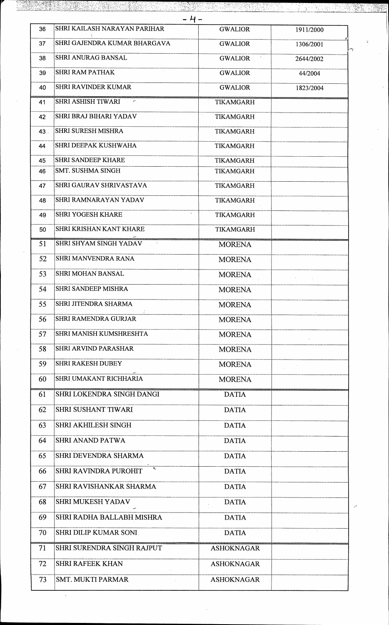| - 4 - |                                |                               |           |  |  |  |  |
|-------|--------------------------------|-------------------------------|-----------|--|--|--|--|
| 36    | SHRI KAILASH NARAYAN PARIHAR   | <b>GWALIOR</b>                | 1911/2000 |  |  |  |  |
| 37    | SHRI GAJENDRA KUMAR BHARGAVA   | <b>GWALIOR</b>                | 1306/2001 |  |  |  |  |
| 38    | <b>SHRI ANURAG BANSAL</b>      | <b>GWALIOR</b>                | 2644/2002 |  |  |  |  |
| 39    | <b>SHRI RAM PATHAK</b>         | <b>GWALIOR</b>                | 44/2004   |  |  |  |  |
| 40    | <b>SHRI RAVINDER KUMAR</b>     | <b>GWALIOR</b>                | 1823/2004 |  |  |  |  |
| 41    | <b>SHRI ASHISH TIWARI</b>      | <b>TIKAMGARH</b>              |           |  |  |  |  |
| 42    | <b>SHRI BRAJ BIHARI YADAV</b>  | TIKAMGARH                     |           |  |  |  |  |
| 43.   | <b>SHRI SURESH MISHRA</b>      | <b>TIKAMGARH</b>              |           |  |  |  |  |
| 44    | SHRI DEEPAK KUSHWAHA           | TIKAMGARH                     |           |  |  |  |  |
| 45    | <b>SHRI SANDEEP KHARE</b>      | TIKAMGARH                     |           |  |  |  |  |
| 46    | <b>SMT. SUSHMA SINGH</b>       | TIKAMGARH                     |           |  |  |  |  |
| 47    | <b>SHRI GAURAV SHRIVASTAVA</b> | TIKAMGARH                     |           |  |  |  |  |
| 48    | <b>SHRI RAMNARAYAN YADAV</b>   | TIKAMGARH                     |           |  |  |  |  |
| 49    | <b>SHRI YOGESH KHARE</b>       | $\bullet$<br><b>TIKAMGARH</b> |           |  |  |  |  |
| 50    | SHRI KRISHAN KANT KHARE        | TIKAMGARH                     |           |  |  |  |  |
| 51    | SHRI SHYAM SINGH YADAV         | <b>MORENA</b>                 |           |  |  |  |  |
| 52    | SHRI MANVENDRA RANA            | <b>MORENA</b>                 |           |  |  |  |  |
| 53    | <b>SHRI MOHAN BANSAL</b>       | <b>MORENA</b>                 |           |  |  |  |  |
| 54    | <b>SHRI SANDEEP MISHRA</b>     | <b>MORENA</b>                 |           |  |  |  |  |
| 55    | <b>SHRI JITENDRA SHARMA</b>    | <b>MORENA</b>                 |           |  |  |  |  |
| 56    | <b>SHRI RAMENDRA GURJAR</b>    | <b>MORENA</b>                 |           |  |  |  |  |
| 57    | SHRI MANISH KUMSHRESHTA        | <b>MORENA</b>                 |           |  |  |  |  |
| 58    | <b>SHRI ARVIND PARASHAR</b>    | <b>MORENA</b>                 |           |  |  |  |  |
| 59    | <b>SHRI RAKESH DUBEY</b>       | <b>MORENA</b>                 |           |  |  |  |  |
| 60    | SHRI UMAKANT RICHHARIA         | <b>MORENA</b>                 |           |  |  |  |  |
| 61    | SHRI LOKENDRA SINGH DANGI      | <b>DATIA</b>                  |           |  |  |  |  |
| 62    | SHRI SUSHANT TIWARI            | <b>DATIA</b>                  |           |  |  |  |  |
| 63    | SHRI AKHILESH SINGH            | <b>DATIA</b>                  |           |  |  |  |  |
| 64    | <b>SHRI ANAND PATWA</b>        | <b>DATIA</b>                  |           |  |  |  |  |
| 65    | SHRI DEVENDRA SHARMA           | <b>DATIA</b>                  |           |  |  |  |  |
| 66    | SHRI RAVINDRA PUROHIT          | <b>DATIA</b>                  |           |  |  |  |  |
| 67    | SHRI RAVISHANKAR SHARMA        | <b>DATIA</b>                  |           |  |  |  |  |
| 68    | SHRI MUKESH YADAV              | <b>DATIA</b>                  |           |  |  |  |  |
| 69    | SHRI RADHA BALLABH MISHRA      | <b>DATIA</b>                  |           |  |  |  |  |
| 70    | SHRI DILIP KUMAR SONI.         | <b>DATIA</b>                  |           |  |  |  |  |
| 71    | SHRI SURENDRA SINGH RAJPUT     | <b>ASHOKNAGAR</b>             |           |  |  |  |  |
| 72    | <b>SHRI RAFEEK KHAN</b>        | <b>ASHOKNAGAR</b>             |           |  |  |  |  |
| 73    | <b>SMT. MUKTI PARMAR</b>       | <b>ASHOKNAGAR</b>             |           |  |  |  |  |
|       |                                |                               |           |  |  |  |  |

yi!